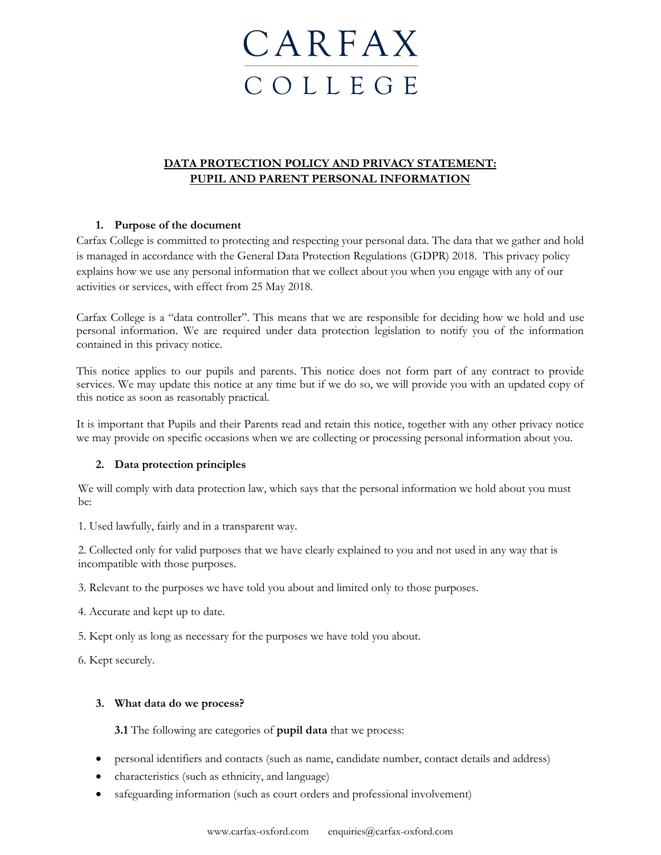# **CARFAX** C O L L E G E

# **DATA PROTECTION POLICY AND PRIVACY STATEMENT: PUPIL AND PARENT PERSONAL INFORMATION**

# **1. Purpose of the document**

Carfax College is committed to protecting and respecting your personal data. The data that we gather and hold is managed in accordance with the General Data Protection Regulations (GDPR) 2018. This privacy policy explains how we use any personal information that we collect about you when you engage with any of our activities or services, with effect from 25 May 2018.

Carfax College is a "data controller". This means that we are responsible for deciding how we hold and use personal information. We are required under data protection legislation to notify you of the information contained in this privacy notice.

This notice applies to our pupils and parents. This notice does not form part of any contract to provide services. We may update this notice at any time but if we do so, we will provide you with an updated copy of this notice as soon as reasonably practical.

It is important that Pupils and their Parents read and retain this notice, together with any other privacy notice we may provide on specific occasions when we are collecting or processing personal information about you.

# **2. Data protection principles**

We will comply with data protection law, which says that the personal information we hold about you must be:

1. Used lawfully, fairly and in a transparent way.

2. Collected only for valid purposes that we have clearly explained to you and not used in any way that is incompatible with those purposes.

3. Relevant to the purposes we have told you about and limited only to those purposes.

4. Accurate and kept up to date.

5. Kept only as long as necessary for the purposes we have told you about.

6. Kept securely.

# **3. What data do we process?**

**3.1** The following are categories of **pupil data** that we process:

- personal identifiers and contacts (such as name, candidate number, contact details and address)
- characteristics (such as ethnicity, and language)
- safeguarding information (such as court orders and professional involvement)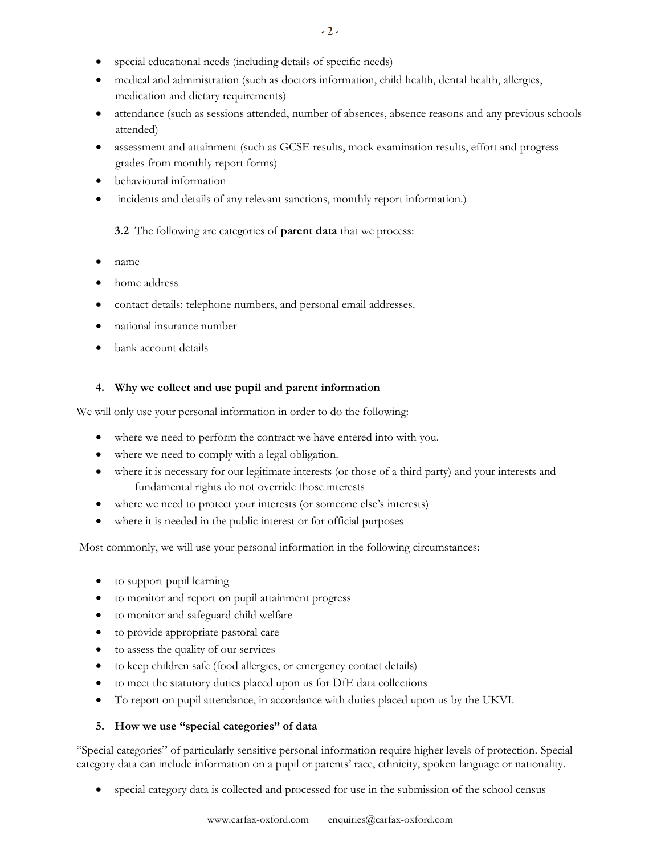- special educational needs (including details of specific needs)
- medical and administration (such as doctors information, child health, dental health, allergies, medication and dietary requirements)
- attendance (such as sessions attended, number of absences, absence reasons and any previous schools attended)
- assessment and attainment (such as GCSE results, mock examination results, effort and progress grades from monthly report forms)
- behavioural information
- incidents and details of any relevant sanctions, monthly report information.)

# **3.2** The following are categories of **parent data** that we process:

- name
- home address
- contact details: telephone numbers, and personal email addresses.
- national insurance number
- bank account details

# **4. Why we collect and use pupil and parent information**

We will only use your personal information in order to do the following:

- where we need to perform the contract we have entered into with you.
- where we need to comply with a legal obligation.
- where it is necessary for our legitimate interests (or those of a third party) and your interests and fundamental rights do not override those interests
- where we need to protect your interests (or someone else's interests)
- where it is needed in the public interest or for official purposes

Most commonly, we will use your personal information in the following circumstances:

- to support pupil learning
- to monitor and report on pupil attainment progress
- to monitor and safeguard child welfare
- to provide appropriate pastoral care
- to assess the quality of our services
- to keep children safe (food allergies, or emergency contact details)
- to meet the statutory duties placed upon us for DfE data collections
- To report on pupil attendance, in accordance with duties placed upon us by the UKVI.

# **5. How we use "special categories" of data**

"Special categories" of particularly sensitive personal information require higher levels of protection. Special category data can include information on a pupil or parents' race, ethnicity, spoken language or nationality.

• special category data is collected and processed for use in the submission of the school census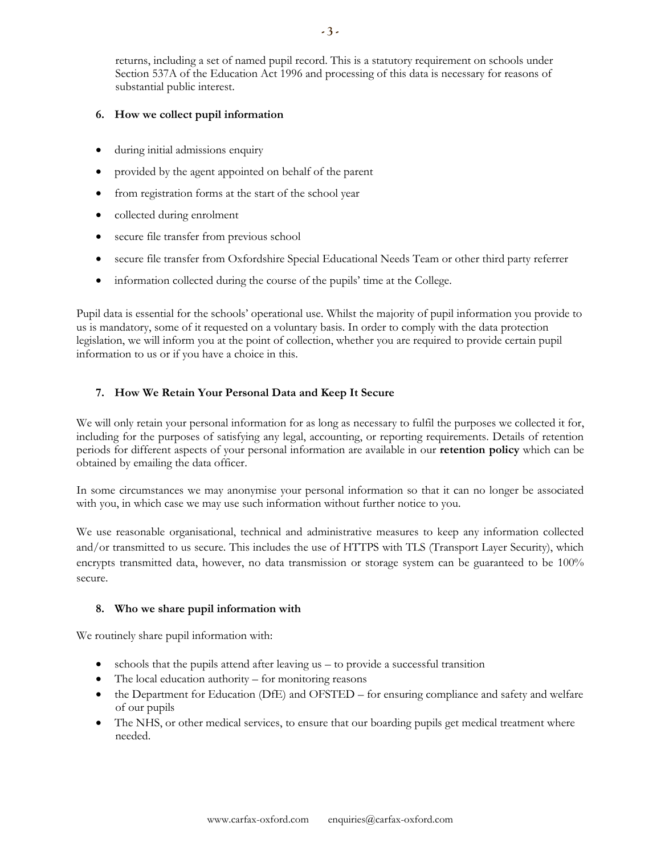returns, including a set of named pupil record. This is a statutory requirement on schools under Section 537A of the Education Act 1996 and processing of this data is necessary for reasons of substantial public interest.

#### **6. How we collect pupil information**

- during initial admissions enquiry
- provided by the agent appointed on behalf of the parent
- from registration forms at the start of the school year
- collected during enrolment
- secure file transfer from previous school
- secure file transfer from Oxfordshire Special Educational Needs Team or other third party referrer
- information collected during the course of the pupils' time at the College.

Pupil data is essential for the schools' operational use. Whilst the majority of pupil information you provide to us is mandatory, some of it requested on a voluntary basis. In order to comply with the data protection legislation, we will inform you at the point of collection, whether you are required to provide certain pupil information to us or if you have a choice in this.

# **7. How We Retain Your Personal Data and Keep It Secure**

We will only retain your personal information for as long as necessary to fulfil the purposes we collected it for, including for the purposes of satisfying any legal, accounting, or reporting requirements. Details of retention periods for different aspects of your personal information are available in our **retention policy** which can be obtained by emailing the data officer.

In some circumstances we may anonymise your personal information so that it can no longer be associated with you, in which case we may use such information without further notice to you.

We use reasonable organisational, technical and administrative measures to keep any information collected and/or transmitted to us secure. This includes the use of HTTPS with TLS (Transport Layer Security), which encrypts transmitted data, however, no data transmission or storage system can be guaranteed to be 100% secure.

# **8. Who we share pupil information with**

We routinely share pupil information with:

- schools that the pupils attend after leaving us to provide a successful transition
- The local education authority for monitoring reasons
- the Department for Education (DfE) and OFSTED for ensuring compliance and safety and welfare of our pupils
- The NHS, or other medical services, to ensure that our boarding pupils get medical treatment where needed.